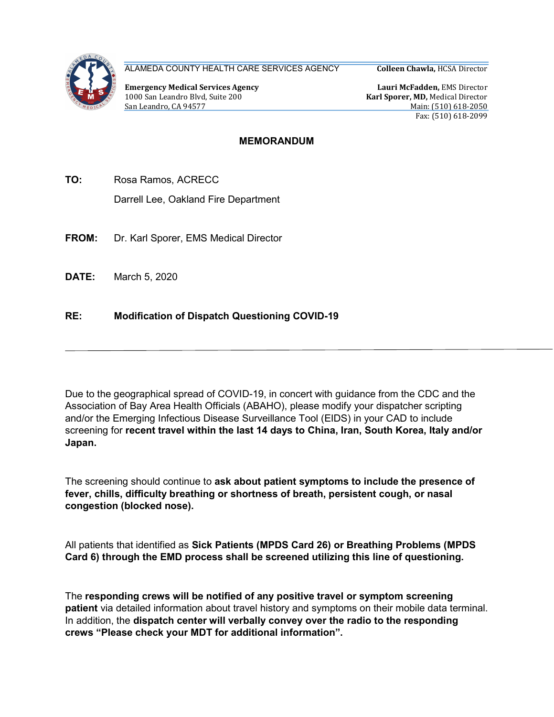

ALAMEDA COUNTY HEALTH CARE SERVICES AGENCY

Emergency Medical Services Agency 1000 San Leandro Blvd, Suite 200 San Leandro, CA 94577

Colleen Chawla, HCSA Director

Lauri McFadden, EMS Director Karl Sporer, MD, Medical Director Main: (510) 618-2050 Fax: (510) 618-2099

## MEMORANDUM

TO: Rosa Ramos, ACRECC

Darrell Lee, Oakland Fire Department

- FROM: Dr. Karl Sporer, EMS Medical Director
- DATE: March 5, 2020

## RE: Modification of Dispatch Questioning COVID-19

Due to the geographical spread of COVID-19, in concert with guidance from the CDC and the Association of Bay Area Health Officials (ABAHO), please modify your dispatcher scripting and/or the Emerging Infectious Disease Surveillance Tool (EIDS) in your CAD to include screening for recent travel within the last 14 days to China, Iran, South Korea, Italy and/or Japan.

The screening should continue to ask about patient symptoms to include the presence of fever, chills, difficulty breathing or shortness of breath, persistent cough, or nasal congestion (blocked nose).

All patients that identified as Sick Patients (MPDS Card 26) or Breathing Problems (MPDS Card 6) through the EMD process shall be screened utilizing this line of questioning.

The responding crews will be notified of any positive travel or symptom screening patient via detailed information about travel history and symptoms on their mobile data terminal. In addition, the dispatch center will verbally convey over the radio to the responding crews "Please check your MDT for additional information".